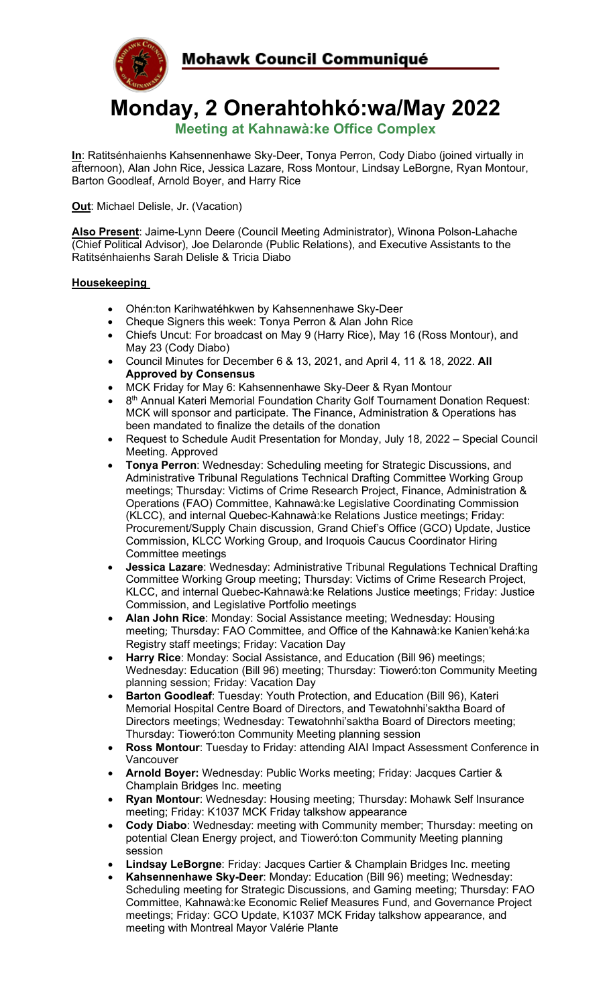

**Monday, 2 Onerahtohkó:wa/May 2022 Meeting at Kahnawà:ke Office Complex**

**In**: Ratitsénhaienhs Kahsennenhawe Sky-Deer, Tonya Perron, Cody Diabo (joined virtually in afternoon), Alan John Rice, Jessica Lazare, Ross Montour, Lindsay LeBorgne, Ryan Montour, Barton Goodleaf, Arnold Boyer, and Harry Rice

**Out:** Michael Delisle, Jr. (Vacation)

**Also Present**: Jaime-Lynn Deere (Council Meeting Administrator), Winona Polson-Lahache (Chief Political Advisor), Joe Delaronde (Public Relations), and Executive Assistants to the Ratitsénhaienhs Sarah Delisle & Tricia Diabo

## **Housekeeping**

- Ohén:ton Karihwatéhkwen by Kahsennenhawe Sky-Deer
- Cheque Signers this week: Tonya Perron & Alan John Rice
- Chiefs Uncut: For broadcast on May 9 (Harry Rice), May 16 (Ross Montour), and May 23 (Cody Diabo)
- Council Minutes for December 6 & 13, 2021, and April 4, 11 & 18, 2022. **All Approved by Consensus**
- MCK Friday for May 6: Kahsennenhawe Sky-Deer & Ryan Montour
- 8<sup>th</sup> Annual Kateri Memorial Foundation Charity Golf Tournament Donation Request: MCK will sponsor and participate. The Finance, Administration & Operations has been mandated to finalize the details of the donation
- Request to Schedule Audit Presentation for Monday, July 18, 2022 Special Council Meeting. Approved
- **Tonya Perron**: Wednesday: Scheduling meeting for Strategic Discussions, and Administrative Tribunal Regulations Technical Drafting Committee Working Group meetings; Thursday: Victims of Crime Research Project, Finance, Administration & Operations (FAO) Committee, Kahnawà:ke Legislative Coordinating Commission (KLCC), and internal Quebec-Kahnawà:ke Relations Justice meetings; Friday: Procurement/Supply Chain discussion, Grand Chief's Office (GCO) Update, Justice Commission, KLCC Working Group, and Iroquois Caucus Coordinator Hiring Committee meetings
- **Jessica Lazare**: Wednesday: Administrative Tribunal Regulations Technical Drafting Committee Working Group meeting; Thursday: Victims of Crime Research Project, KLCC, and internal Quebec-Kahnawà:ke Relations Justice meetings; Friday: Justice Commission, and Legislative Portfolio meetings
- **Alan John Rice**: Monday: Social Assistance meeting; Wednesday: Housing meeting; Thursday: FAO Committee, and Office of the Kahnawà:ke Kanien'kehá:ka Registry staff meetings; Friday: Vacation Day
- **Harry Rice**: Monday: Social Assistance, and Education (Bill 96) meetings; Wednesday: Education (Bill 96) meeting; Thursday: Tioweró:ton Community Meeting planning session; Friday: Vacation Day
- **Barton Goodleaf**: Tuesday: Youth Protection, and Education (Bill 96), Kateri Memorial Hospital Centre Board of Directors, and Tewatohnhi'saktha Board of Directors meetings; Wednesday: Tewatohnhi'saktha Board of Directors meeting; Thursday: Tioweró:ton Community Meeting planning session
- **Ross Montour**: Tuesday to Friday: attending AIAI Impact Assessment Conference in Vancouver
- **Arnold Boyer:** Wednesday: Public Works meeting; Friday: Jacques Cartier & Champlain Bridges Inc. meeting
- **Ryan Montour**: Wednesday: Housing meeting; Thursday: Mohawk Self Insurance meeting; Friday: K1037 MCK Friday talkshow appearance
- **Cody Diabo**: Wednesday: meeting with Community member; Thursday: meeting on potential Clean Energy project, and Tioweró:ton Community Meeting planning session
- **Lindsay LeBorgne**: Friday: Jacques Cartier & Champlain Bridges Inc. meeting
- **Kahsennenhawe Sky-Deer**: Monday: Education (Bill 96) meeting; Wednesday: Scheduling meeting for Strategic Discussions, and Gaming meeting; Thursday: FAO Committee, Kahnawà:ke Economic Relief Measures Fund, and Governance Project meetings; Friday: GCO Update, K1037 MCK Friday talkshow appearance, and meeting with Montreal Mayor Valérie Plante